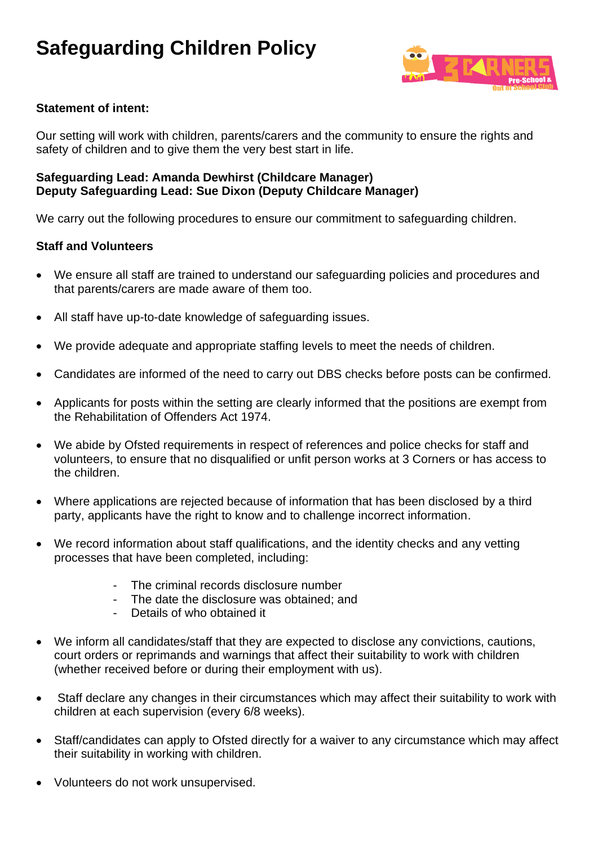# **Safeguarding Children Policy**



## **Statement of intent:**

Our setting will work with children, parents/carers and the community to ensure the rights and safety of children and to give them the very best start in life.

## **Safeguarding Lead: Amanda Dewhirst (Childcare Manager) Deputy Safeguarding Lead: Sue Dixon (Deputy Childcare Manager)**

We carry out the following procedures to ensure our commitment to safeguarding children.

#### **Staff and Volunteers**

- We ensure all staff are trained to understand our safeguarding policies and procedures and that parents/carers are made aware of them too.
- All staff have up-to-date knowledge of safeguarding issues.
- We provide adequate and appropriate staffing levels to meet the needs of children.
- Candidates are informed of the need to carry out DBS checks before posts can be confirmed.
- Applicants for posts within the setting are clearly informed that the positions are exempt from the Rehabilitation of Offenders Act 1974.
- We abide by Ofsted requirements in respect of references and police checks for staff and volunteers, to ensure that no disqualified or unfit person works at 3 Corners or has access to the children.
- Where applications are rejected because of information that has been disclosed by a third party, applicants have the right to know and to challenge incorrect information.
- We record information about staff qualifications, and the identity checks and any vetting processes that have been completed, including:
	- The criminal records disclosure number
	- The date the disclosure was obtained; and
	- Details of who obtained it
- We inform all candidates/staff that they are expected to disclose any convictions, cautions, court orders or reprimands and warnings that affect their suitability to work with children (whether received before or during their employment with us).
- Staff declare any changes in their circumstances which may affect their suitability to work with children at each supervision (every 6/8 weeks).
- Staff/candidates can apply to Ofsted directly for a waiver to any circumstance which may affect their suitability in working with children.
- Volunteers do not work unsupervised.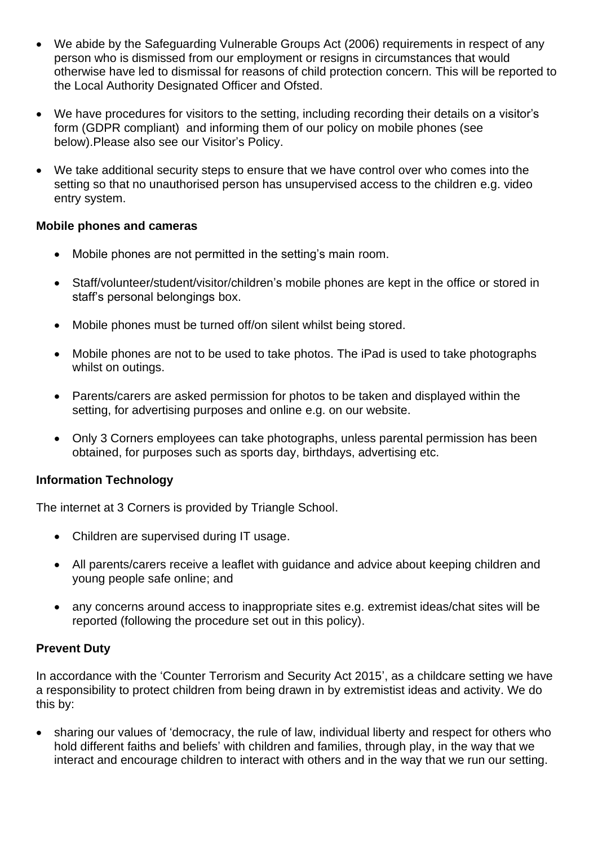- We abide by the Safeguarding Vulnerable Groups Act (2006) requirements in respect of any person who is dismissed from our employment or resigns in circumstances that would otherwise have led to dismissal for reasons of child protection concern. This will be reported to the Local Authority Designated Officer and Ofsted.
- We have procedures for visitors to the setting, including recording their details on a visitor's form (GDPR compliant) and informing them of our policy on mobile phones (see below).Please also see our Visitor's Policy.
- We take additional security steps to ensure that we have control over who comes into the setting so that no unauthorised person has unsupervised access to the children e.g. video entry system.

# **Mobile phones and cameras**

- Mobile phones are not permitted in the setting's main room.
- Staff/volunteer/student/visitor/children's mobile phones are kept in the office or stored in staff's personal belongings box.
- Mobile phones must be turned off/on silent whilst being stored.
- Mobile phones are not to be used to take photos. The iPad is used to take photographs whilst on outings.
- Parents/carers are asked permission for photos to be taken and displayed within the setting, for advertising purposes and online e.g. on our website.
- Only 3 Corners employees can take photographs, unless parental permission has been obtained, for purposes such as sports day, birthdays, advertising etc.

# **Information Technology**

The internet at 3 Corners is provided by Triangle School.

- Children are supervised during IT usage.
- All parents/carers receive a leaflet with guidance and advice about keeping children and young people safe online; and
- any concerns around access to inappropriate sites e.g. extremist ideas/chat sites will be reported (following the procedure set out in this policy).

# **Prevent Duty**

In accordance with the 'Counter Terrorism and Security Act 2015', as a childcare setting we have a responsibility to protect children from being drawn in by extremistist ideas and activity. We do this by:

• sharing our values of 'democracy, the rule of law, individual liberty and respect for others who hold different faiths and beliefs' with children and families, through play, in the way that we interact and encourage children to interact with others and in the way that we run our setting.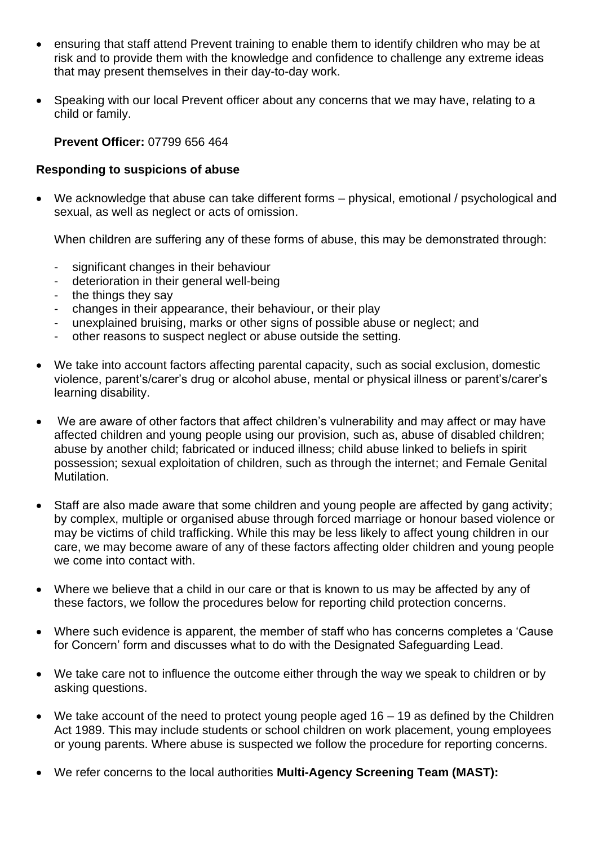- ensuring that staff attend Prevent training to enable them to identify children who may be at risk and to provide them with the knowledge and confidence to challenge any extreme ideas that may present themselves in their day-to-day work.
- Speaking with our local Prevent officer about any concerns that we may have, relating to a child or family.

## **Prevent Officer:** 07799 656 464

## **Responding to suspicions of abuse**

• We acknowledge that abuse can take different forms – physical, emotional / psychological and sexual, as well as neglect or acts of omission.

When children are suffering any of these forms of abuse, this may be demonstrated through:

- significant changes in their behaviour
- deterioration in their general well-being
- the things they say
- changes in their appearance, their behaviour, or their play
- unexplained bruising, marks or other signs of possible abuse or neglect; and
- other reasons to suspect neglect or abuse outside the setting.
- We take into account factors affecting parental capacity, such as social exclusion, domestic violence, parent's/carer's drug or alcohol abuse, mental or physical illness or parent's/carer's learning disability.
- We are aware of other factors that affect children's vulnerability and may affect or may have affected children and young people using our provision, such as, abuse of disabled children; abuse by another child; fabricated or induced illness; child abuse linked to beliefs in spirit possession; sexual exploitation of children, such as through the internet; and Female Genital Mutilation.
- Staff are also made aware that some children and young people are affected by gang activity; by complex, multiple or organised abuse through forced marriage or honour based violence or may be victims of child trafficking. While this may be less likely to affect young children in our care, we may become aware of any of these factors affecting older children and young people we come into contact with.
- Where we believe that a child in our care or that is known to us may be affected by any of these factors, we follow the procedures below for reporting child protection concerns.
- Where such evidence is apparent, the member of staff who has concerns completes a 'Cause for Concern' form and discusses what to do with the Designated Safeguarding Lead.
- We take care not to influence the outcome either through the way we speak to children or by asking questions.
- We take account of the need to protect young people aged  $16 19$  as defined by the Children Act 1989. This may include students or school children on work placement, young employees or young parents. Where abuse is suspected we follow the procedure for reporting concerns.
- We refer concerns to the local authorities **Multi-Agency Screening Team (MAST):**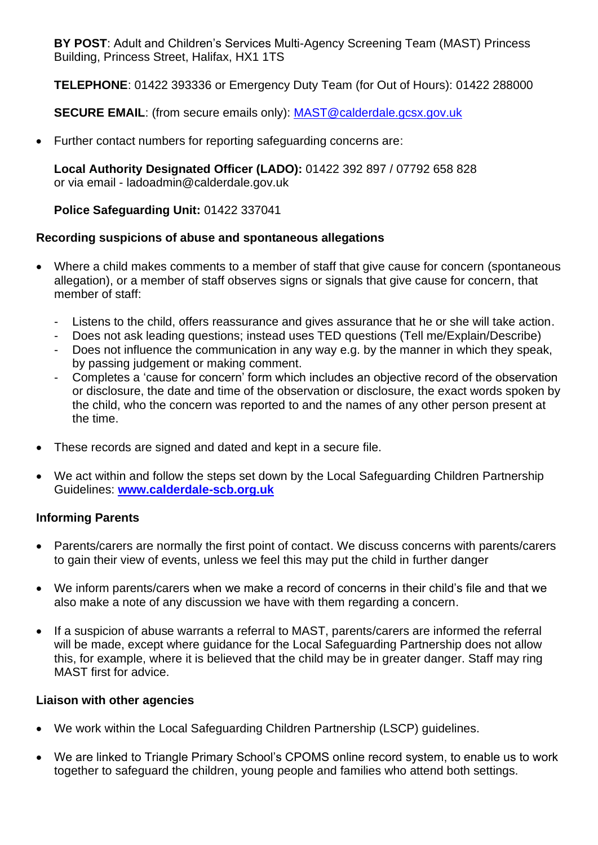**BY POST**: Adult and Children's Services Multi-Agency Screening Team (MAST) Princess Building, Princess Street, Halifax, HX1 1TS

**TELEPHONE**: 01422 393336 or Emergency Duty Team (for Out of Hours): 01422 288000

**SECURE EMAIL**: (from secure emails only): [MAST@calderdale.gcsx.gov.uk](mailto:MAST@calderdale.gcsx.gov.uk)

• Further contact numbers for reporting safeguarding concerns are:

**Local Authority Designated Officer (LADO):** 01422 392 897 / 07792 658 828 or via email - ladoadmin@calderdale.gov.uk

# **Police Safeguarding Unit:** 01422 337041

# **Recording suspicions of abuse and spontaneous allegations**

- Where a child makes comments to a member of staff that give cause for concern (spontaneous allegation), or a member of staff observes signs or signals that give cause for concern, that member of staff:
	- Listens to the child, offers reassurance and gives assurance that he or she will take action.
	- Does not ask leading questions; instead uses TED questions (Tell me/Explain/Describe)
	- Does not influence the communication in any way e.g. by the manner in which they speak, by passing judgement or making comment.
	- Completes a 'cause for concern' form which includes an objective record of the observation or disclosure, the date and time of the observation or disclosure, the exact words spoken by the child, who the concern was reported to and the names of any other person present at the time.
- These records are signed and dated and kept in a secure file.
- We act within and follow the steps set down by the Local Safeguarding Children Partnership Guidelines: **[www.calderdale-scb.org.uk](http://www.calderdale-scb.org.uk/)**

# **Informing Parents**

- Parents/carers are normally the first point of contact. We discuss concerns with parents/carers to gain their view of events, unless we feel this may put the child in further danger
- We inform parents/carers when we make a record of concerns in their child's file and that we also make a note of any discussion we have with them regarding a concern.
- If a suspicion of abuse warrants a referral to MAST, parents/carers are informed the referral will be made, except where guidance for the Local Safeguarding Partnership does not allow this, for example, where it is believed that the child may be in greater danger. Staff may ring MAST first for advice.

# **Liaison with other agencies**

- We work within the Local Safeguarding Children Partnership (LSCP) guidelines.
- We are linked to Triangle Primary School's CPOMS online record system, to enable us to work together to safeguard the children, young people and families who attend both settings.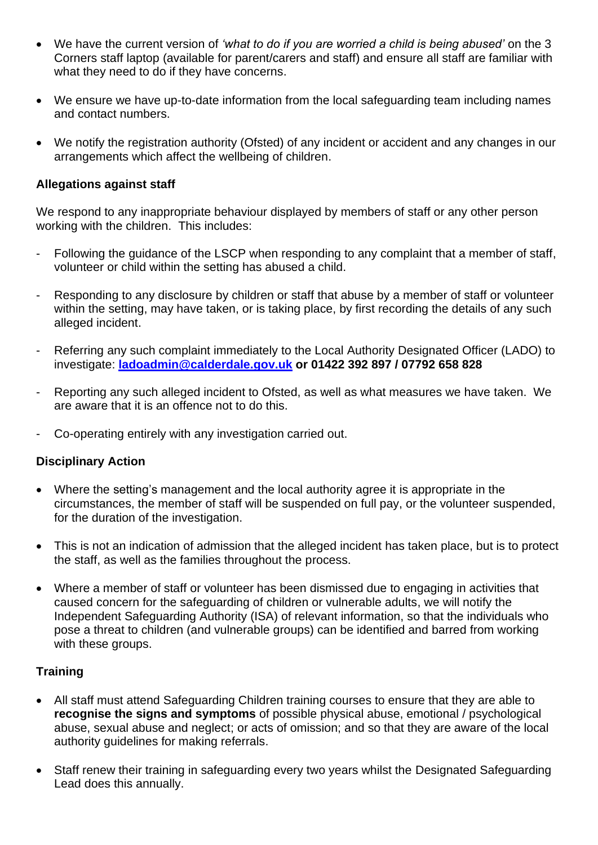- We have the current version of *'what to do if you are worried a child is being abused'* on the 3 Corners staff laptop (available for parent/carers and staff) and ensure all staff are familiar with what they need to do if they have concerns.
- We ensure we have up-to-date information from the local safeguarding team including names and contact numbers.
- We notify the registration authority (Ofsted) of any incident or accident and any changes in our arrangements which affect the wellbeing of children.

## **Allegations against staff**

We respond to any inappropriate behaviour displayed by members of staff or any other person working with the children. This includes:

- Following the guidance of the LSCP when responding to any complaint that a member of staff, volunteer or child within the setting has abused a child.
- Responding to any disclosure by children or staff that abuse by a member of staff or volunteer within the setting, may have taken, or is taking place, by first recording the details of any such alleged incident.
- Referring any such complaint immediately to the Local Authority Designated Officer (LADO) to investigate: **[ladoadmin@calderdale.gov.uk](mailto:ladoadmin@calderdale.gov.uk) or 01422 392 897 / 07792 658 828**
- Reporting any such alleged incident to Ofsted, as well as what measures we have taken. We are aware that it is an offence not to do this.
- Co-operating entirely with any investigation carried out.

# **Disciplinary Action**

- Where the setting's management and the local authority agree it is appropriate in the circumstances, the member of staff will be suspended on full pay, or the volunteer suspended, for the duration of the investigation.
- This is not an indication of admission that the alleged incident has taken place, but is to protect the staff, as well as the families throughout the process.
- Where a member of staff or volunteer has been dismissed due to engaging in activities that caused concern for the safeguarding of children or vulnerable adults, we will notify the Independent Safeguarding Authority (ISA) of relevant information, so that the individuals who pose a threat to children (and vulnerable groups) can be identified and barred from working with these groups.

# **Training**

- All staff must attend Safeguarding Children training courses to ensure that they are able to **recognise the signs and symptoms** of possible physical abuse, emotional / psychological abuse, sexual abuse and neglect; or acts of omission; and so that they are aware of the local authority guidelines for making referrals.
- Staff renew their training in safeguarding every two years whilst the Designated Safeguarding Lead does this annually.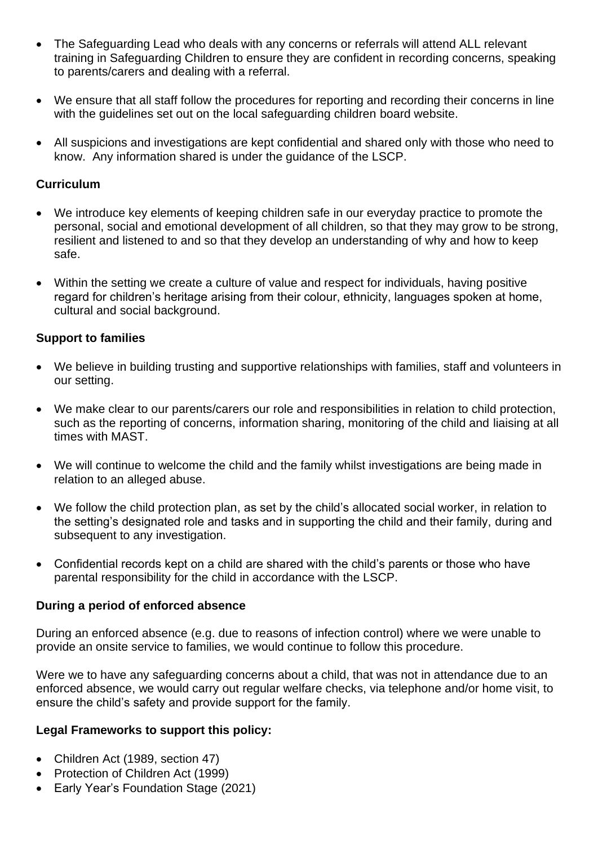- The Safeguarding Lead who deals with any concerns or referrals will attend ALL relevant training in Safeguarding Children to ensure they are confident in recording concerns, speaking to parents/carers and dealing with a referral.
- We ensure that all staff follow the procedures for reporting and recording their concerns in line with the guidelines set out on the local safeguarding children board website.
- All suspicions and investigations are kept confidential and shared only with those who need to know. Any information shared is under the guidance of the LSCP.

## **Curriculum**

- We introduce key elements of keeping children safe in our everyday practice to promote the personal, social and emotional development of all children, so that they may grow to be strong, resilient and listened to and so that they develop an understanding of why and how to keep safe.
- Within the setting we create a culture of value and respect for individuals, having positive regard for children's heritage arising from their colour, ethnicity, languages spoken at home, cultural and social background.

## **Support to families**

- We believe in building trusting and supportive relationships with families, staff and volunteers in our setting.
- We make clear to our parents/carers our role and responsibilities in relation to child protection, such as the reporting of concerns, information sharing, monitoring of the child and liaising at all times with MAST.
- We will continue to welcome the child and the family whilst investigations are being made in relation to an alleged abuse.
- We follow the child protection plan, as set by the child's allocated social worker, in relation to the setting's designated role and tasks and in supporting the child and their family, during and subsequent to any investigation.
- Confidential records kept on a child are shared with the child's parents or those who have parental responsibility for the child in accordance with the LSCP.

#### **During a period of enforced absence**

During an enforced absence (e.g. due to reasons of infection control) where we were unable to provide an onsite service to families, we would continue to follow this procedure.

Were we to have any safeguarding concerns about a child, that was not in attendance due to an enforced absence, we would carry out regular welfare checks, via telephone and/or home visit, to ensure the child's safety and provide support for the family.

#### **Legal Frameworks to support this policy:**

- Children Act (1989, section 47)
- Protection of Children Act (1999)
- Early Year's Foundation Stage (2021)